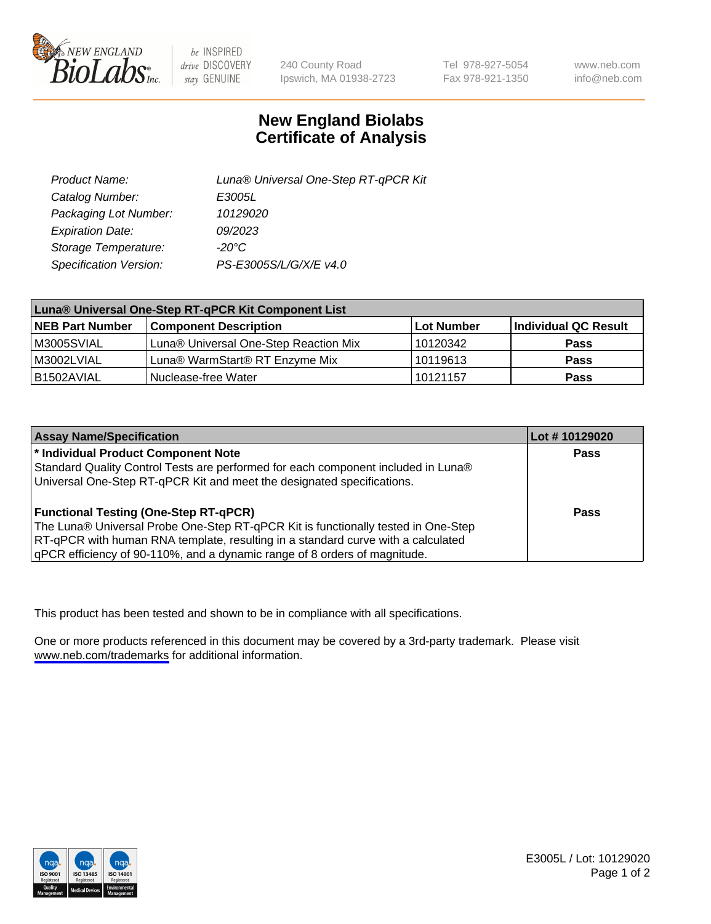

be INSPIRED drive DISCOVERY stay GENUINE

240 County Road Ipswich, MA 01938-2723 Tel 978-927-5054 Fax 978-921-1350

www.neb.com info@neb.com

## **New England Biolabs Certificate of Analysis**

| Product Name:           | Luna® Universal One-Step RT-qPCR Kit |  |
|-------------------------|--------------------------------------|--|
| Catalog Number:         | E3005L                               |  |
| Packaging Lot Number:   | 10129020                             |  |
| <b>Expiration Date:</b> | 09/2023                              |  |
| Storage Temperature:    | $-20^{\circ}$ C                      |  |
| Specification Version:  | PS-E3005S/L/G/X/E v4.0               |  |

| Luna® Universal One-Step RT-qPCR Kit Component List |                                       |            |                      |  |
|-----------------------------------------------------|---------------------------------------|------------|----------------------|--|
| <b>NEB Part Number</b>                              | <b>Component Description</b>          | Lot Number | Individual QC Result |  |
| M3005SVIAL                                          | Luna® Universal One-Step Reaction Mix | 10120342   | Pass                 |  |
| M3002LVIAL                                          | Luna® WarmStart® RT Enzyme Mix        | 10119613   | <b>Pass</b>          |  |
| B1502AVIAL                                          | Nuclease-free Water                   | 10121157   | <b>Pass</b>          |  |

| <b>Assay Name/Specification</b>                                                   | Lot #10129020 |
|-----------------------------------------------------------------------------------|---------------|
| * Individual Product Component Note                                               | Pass          |
| Standard Quality Control Tests are performed for each component included in Luna® |               |
| Universal One-Step RT-qPCR Kit and meet the designated specifications.            |               |
| <b>Functional Testing (One-Step RT-qPCR)</b>                                      | Pass          |
| The Luna® Universal Probe One-Step RT-qPCR Kit is functionally tested in One-Step |               |
| RT-qPCR with human RNA template, resulting in a standard curve with a calculated  |               |
| gPCR efficiency of 90-110%, and a dynamic range of 8 orders of magnitude.         |               |

This product has been tested and shown to be in compliance with all specifications.

One or more products referenced in this document may be covered by a 3rd-party trademark. Please visit <www.neb.com/trademarks>for additional information.